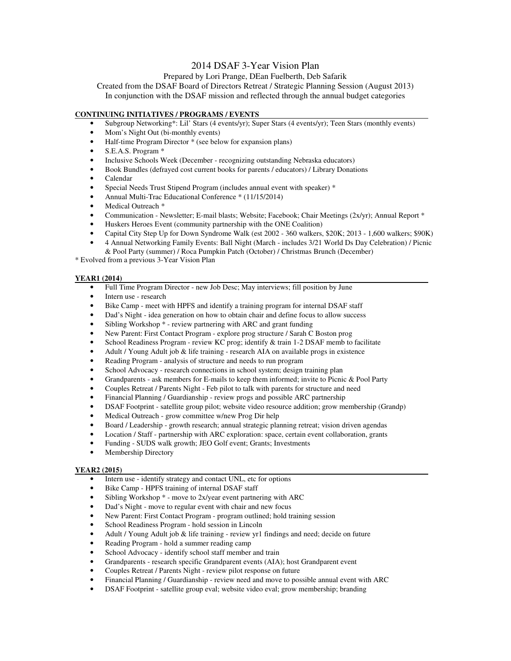# 2014 DSAF 3-Year Vision Plan

## Prepared by Lori Prange, DEan Fuelberth, Deb Safarik

Created from the DSAF Board of Directors Retreat / Strategic Planning Session (August 2013) In conjunction with the DSAF mission and reflected through the annual budget categories

### **CONTINUING INITIATIVES / PROGRAMS / EVENTS**

- Subgroup Networking\*: Lil' Stars (4 events/yr); Super Stars (4 events/yr); Teen Stars (monthly events)
- Mom's Night Out (bi-monthly events)
- Half-time Program Director \* (see below for expansion plans)
- S.E.A.S. Program \*
- Inclusive Schools Week (December recognizing outstanding Nebraska educators)
- Book Bundles (defrayed cost current books for parents / educators) / Library Donations
- Calendar
- Special Needs Trust Stipend Program (includes annual event with speaker) \*
- Annual Multi-Trac Educational Conference \* (11/15/2014)
- Medical Outreach \*
- Communication Newsletter; E-mail blasts; Website; Facebook; Chair Meetings (2x/yr); Annual Report \*
- Huskers Heroes Event (community partnership with the ONE Coalition)
- Capital City Step Up for Down Syndrome Walk (est 2002 360 walkers, \$20K; 2013 1,600 walkers; \$90K)
- 4 Annual Networking Family Events: Ball Night (March includes 3/21 World Ds Day Celebration) / Picnic
- & Pool Party (summer) / Roca Pumpkin Patch (October) / Christmas Brunch (December)

\* Evolved from a previous 3-Year Vision Plan

### **YEAR1 (2014)**

- Full Time Program Director new Job Desc; May interviews; fill position by June
- Intern use research
- Bike Camp meet with HPFS and identify a training program for internal DSAF staff
- Dad's Night idea generation on how to obtain chair and define focus to allow success
- Sibling Workshop  $*$  review partnering with ARC and grant funding
- New Parent: First Contact Program explore prog structure / Sarah C Boston prog
- School Readiness Program review KC prog; identify & train 1-2 DSAF memb to facilitate
- Adult / Young Adult job & life training research AIA on available progs in existence
- Reading Program analysis of structure and needs to run program
- School Advocacy research connections in school system; design training plan
- Grandparents ask members for E-mails to keep them informed; invite to Picnic & Pool Party
- Couples Retreat / Parents Night Feb pilot to talk with parents for structure and need
- Financial Planning / Guardianship review progs and possible ARC partnership
- DSAF Footprint satellite group pilot; website video resource addition; grow membership (Grandp)
- Medical Outreach grow committee w/new Prog Dir help
- Board / Leadership growth research; annual strategic planning retreat; vision driven agendas
- Location / Staff partnership with ARC exploration: space, certain event collaboration, grants
- Funding SUDS walk growth; JEO Golf event; Grants; Investments
- Membership Directory

## **YEAR2 (2015)**

- Intern use identify strategy and contact UNL, etc for options
- Bike Camp HPFS training of internal DSAF staff
- Sibling Workshop  $*$  move to 2x/year event partnering with ARC
- Dad's Night move to regular event with chair and new focus
- New Parent: First Contact Program program outlined; hold training session
- School Readiness Program hold session in Lincoln
- Adult / Young Adult job & life training review yr1 findings and need; decide on future
- Reading Program hold a summer reading camp
- School Advocacy identify school staff member and train
- Grandparents research specific Grandparent events (AIA); host Grandparent event
- Couples Retreat / Parents Night review pilot response on future
- Financial Planning / Guardianship review need and move to possible annual event with ARC
- DSAF Footprint satellite group eval; website video eval; grow membership; branding